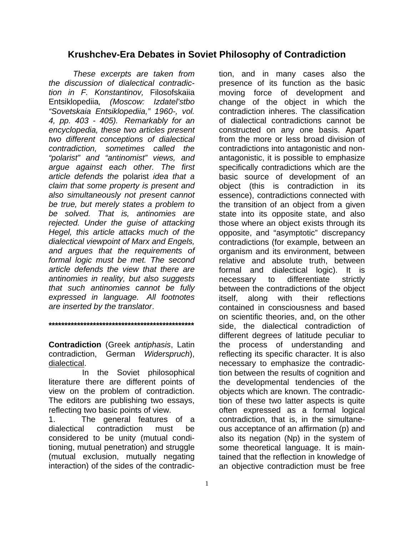## **Krushchev-Era Debates in Soviet Philosophy of Contradiction**

*These excerpts are taken from the discussion of dialectical contradiction in F. Konstantinov,* Filosofskaiia Entsiklopediia*, (Moscow: Izdatel'stbo "Sovetskaia Entsiklopediia," 1960-, vol. 4, pp. 403 - 405). Remarkably for an encyclopedia, these two articles present two different conceptions of dialectical contradiction, sometimes called the "polarist" and "antinomist" views, and argue against each other. The first article defends the* polarist *idea that a claim that some property is present and also simultaneously not present cannot be true, but merely states a problem to be solved. That is, antinomies are rejected. Under the guise of attacking Hegel, this article attacks much of the dialectical viewpoint of Marx and Engels, and argues that the requirements of formal logic must be met. The second article defends the view that there are antinomies in reality, but also suggests that such antinomies cannot be fully expressed in language. All footnotes are inserted by the translator*.

**Contradiction** (Greek *antiphasis*, Latin contradiction, German *Widerspruch*), dialectical.

**\*\*\*\*\*\*\*\*\*\*\*\*\*\*\*\*\*\*\*\*\*\*\*\*\*\*\*\*\*\*\*\*\*\*\*\*\*\*\*\*\*\*\*\*\*\*** 

 In the Soviet philosophical literature there are different points of view on the problem of contradiction. The editors are publishing two essays, reflecting two basic points of view.

1. The general features of a dialectical contradiction must be considered to be unity (mutual conditioning, mutual penetration) and struggle (mutual exclusion, mutually negating interaction) of the sides of the contradiction, and in many cases also the presence of its function as the basic moving force of development and change of the object in which the contradiction inheres. The classification of dialectical contradictions cannot be constructed on any one basis. Apart from the more or less broad division of contradictions into antagonistic and nonantagonistic, it is possible to emphasize specifically contradictions which are the basic source of development of an object (this is contradiction in its essence), contradictions connected with the transition of an object from a given state into its opposite state, and also those where an object exists through its opposite, and "asymptotic" discrepancy contradictions (for example, between an organism and its environment, between relative and absolute truth, between formal and dialectical logic). It is necessary to differentiate strictly between the contradictions of the object itself, along with their reflections contained in consciousness and based on scientific theories, and, on the other side, the dialectical contradiction of different degrees of latitude peculiar to the process of understanding and reflecting its specific character. It is also necessary to emphasize the contradiction between the results of cognition and the developmental tendencies of the objects which are known. The contradiction of these two latter aspects is quite often expressed as a formal logical contradiction, that is, in the simultaneous acceptance of an affirmation (p) and also its negation (Np) in the system of some theoretical language. It is maintained that the reflection in knowledge of an objective contradiction must be free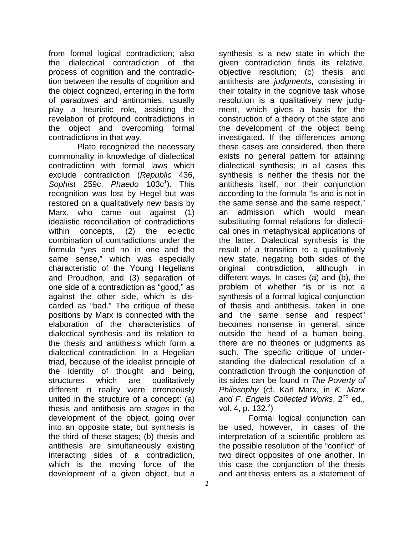from formal logical contradiction; also the dialectical contradiction of the process of cognition and the contradiction between the results of cognition and the object cognized, entering in the form of *paradoxes* and antinomies, usually play a heuristic role, assisting the revelation of profound contradictions in the object and overcoming formal contradictions in that way.

 Plato recognized the necessary commonality in knowledge of dialectical contradiction with formal laws which exclude contradiction (*Republic* 436, Sophist 259c, Phaedo 103c<sup>1</sup>). This recognition was lost by Hegel but was restored on a qualitatively new basis by Marx, who came out against (1) idealistic reconciliation of contradictions within concepts, (2) the eclectic combination of contradictions under the formula "yes and no in one and the same sense," which was especially characteristic of the Young Hegelians and Proudhon, and (3) separation of one side of a contradiction as "good," as against the other side, which is discarded as "bad." The critique of these positions by Marx is connected with the elaboration of the characteristics of dialectical synthesis and its relation to the thesis and antithesis which form a dialectical contradiction. In a Hegelian triad, because of the idealist principle of the identity of thought and being, structures which are qualitatively different in reality were erroneously united in the structure of a concept: (a) thesis and antithesis are *stages* in the development of the object, going over into an opposite state, but synthesis is the third of these stages; (b) thesis and antithesis are simultaneously existing interacting sides of a contradiction, which is the moving force of the development of a given object, but a

synthesis is a new state in which the given contradiction finds its relative, objective resolution; (c) thesis and antithesis are *judgments*, consisting in their totality in the cognitive task whose resolution is a qualitatively new judgment, which gives a basis for the construction of a theory of the state and the development of the object being investigated. If the differences among these cases are considered, then there exists no general pattern for attaining dialectical synthesis; in all cases this synthesis is neither the thesis nor the antithesis itself, nor their conjunction according to the formula "is and is not in the same sense and the same respect," an admission which would mean substituting formal relations for dialectical ones in metaphysical applications of the latter. Dialectical synthesis is the result of a transition to a qualitatively new state, negating both sides of the original contradiction, although in different ways. In cases (a) and (b), the problem of whether "is or is not a synthesis of a formal logical conjunction of thesis and antithesis, taken in one and the same sense and respect" becomes nonsense in general, since outside the head of a human being, there are no theories or judgments as such. The specific critique of understanding the dialectical resolution of a contradiction through the conjunction of its sides can be found in *The Poverty of Philosophy* (cf. Karl Marx, in *K. Marx and F. Engels Collected Works*, 2nd ed., vol. 4, p.  $132.<sup>2</sup>$ )

 Formal logical conjunction can be used, however, in cases of the interpretation of a scientific problem as the possible resolution of the "conflict" of two direct opposites of one another. In this case the conjunction of the thesis and antithesis enters as a statement of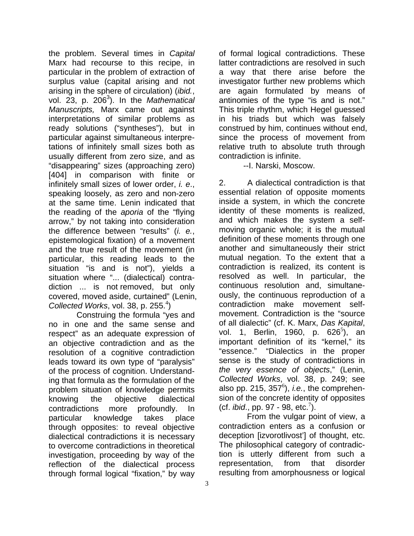the problem. Several times in *Capital* Marx had recourse to this recipe, in particular in the problem of extraction of surplus value (capital arising and not arising in the sphere of circulation) (*ibid.*, vol. 23, p. 206<sup>3</sup>). In the *Mathematical Manuscripts,* Marx came out against interpretations of similar problems as ready solutions ("syntheses"), but in particular against simultaneous interpretations of infinitely small sizes both as usually different from zero size, and as "disappearing" sizes (approaching zero) [404] in comparison with finite or infinitely small sizes of lower order, *i. e*., speaking loosely, as zero and non-zero at the same time. Lenin indicated that the reading of the *aporia* of the "flying arrow," by not taking into consideration the difference between "results" (*i. e.*, epistemological fixation) of a movement and the true result of the movement (in particular, this reading leads to the situation "is and is not"), yields a situation where "... (dialectical) contradiction ... is not removed, but only covered, moved aside, curtained" (Lenin, Collected Works, vol. 38, p. 255.<sup>4</sup>)

 Construing the formula "yes and no in one and the same sense and respect" as an adequate expression of an objective contradiction and as the resolution of a cognitive contradiction leads toward its own type of "paralysis" of the process of cognition. Understanding that formula as the formulation of the problem situation of knowledge permits knowing the objective dialectical contradictions more profoundly. In particular knowledge takes place through opposites: to reveal objective dialectical contradictions it is necessary to overcome contradictions in theoretical investigation, proceeding by way of the reflection of the dialectical process through formal logical "fixation," by way

of formal logical contradictions. These latter contradictions are resolved in such a way that there arise before the investigator further new problems which are again formulated by means of antinomies of the type "is and is not." This triple rhythm, which Hegel guessed in his triads but which was falsely construed by him, continues without end, since the process of movement from relative truth to absolute truth through contradiction is infinite.

--I. Narski, Moscow.

2. A dialectical contradiction is that essential relation of opposite moments inside a system, in which the concrete identity of these moments is realized, and which makes the system a selfmoving organic whole; it is the mutual definition of these moments through one another and simultaneously their strict mutual negation. To the extent that a contradiction is realized, its content is resolved as well. In particular, the continuous resolution and, simultaneously, the continuous reproduction of a contradiction make movement selfmovement. Contradiction is the "source of all dialectic" (cf. K. Marx, *Das Kapital*, vol. 1, Berlin, 1960, p. 626<sup>5</sup>), an important definition of its "kernel," its "essence." "Dialectics in the proper sense is the study of contradictions in *the very essence of objects*," (Lenin, *Collected Works*, vol. 38, p. 249; see also pp. 215,  $357^\circ$ ), *i.e.*, the comprehension of the concrete identity of opposites (cf. *ibid.*, pp. 97 - 98, etc.<sup>7</sup>).

 From the vulgar point of view, a contradiction enters as a confusion or deception [izvorotlivost'] of thought, etc. The philosophical category of contradiction is utterly different from such a representation, from that disorder resulting from amorphousness or logical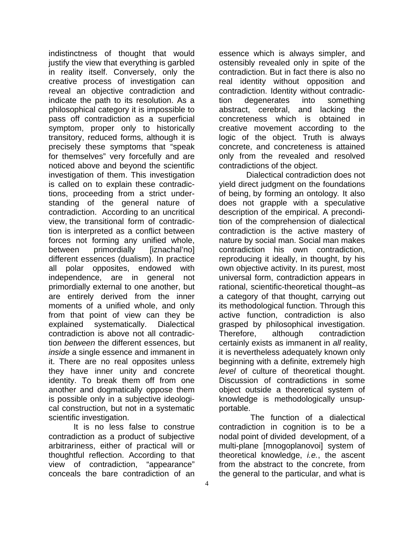indistinctness of thought that would justify the view that everything is garbled in reality itself. Conversely, only the creative process of investigation can reveal an objective contradiction and indicate the path to its resolution. As a philosophical category it is impossible to pass off contradiction as a superficial symptom, proper only to historically transitory, reduced forms, although it is precisely these symptoms that "speak for themselves" very forcefully and are noticed above and beyond the scientific investigation of them. This investigation is called on to explain these contradictions, proceeding from a strict understanding of the general nature of contradiction. According to an uncritical view, the transitional form of contradiction is interpreted as a conflict between forces not forming any unified whole, between primordially [iznachal'no] different essences (dualism). In practice all polar opposites, endowed with independence, are in general not primordially external to one another, but are entirely derived from the inner moments of a unified whole, and only from that point of view can they be explained systematically. Dialectical contradiction is above not all contradiction *between* the different essences, but *inside* a single essence and immanent in it. There are no real opposites unless they have inner unity and concrete identity. To break them off from one another and dogmatically oppose them is possible only in a subjective ideological construction, but not in a systematic scientific investigation.

 It is no less false to construe contradiction as a product of subjective arbitrariness, either of practical will or thoughtful reflection. According to that view of contradiction, "appearance" conceals the bare contradiction of an

essence which is always simpler, and ostensibly revealed only in spite of the contradiction. But in fact there is also no real identity without opposition and contradiction. Identity without contradiction degenerates into something abstract, cerebral, and lacking the concreteness which is obtained in creative movement according to the logic of the object. Truth is always concrete, and concreteness is attained only from the revealed and resolved contradictions of the object.

 Dialectical contradiction does not yield direct judgment on the foundations of being, by forming an ontology*.* It also does not grapple with a speculative description of the empirical. A precondition of the comprehension of dialectical contradiction is the active mastery of nature by social man. Social man makes contradiction his own contradiction, reproducing it ideally, in thought, by his own objective activity. In its purest, most universal form, contradiction appears in rational, scientific-theoretical thought–as a category of that thought, carrying out its methodological function. Through this active function, contradiction is also grasped by philosophical investigation. Therefore, although contradiction certainly exists as immanent in *all* reality, it is nevertheless adequately known only beginning with a definite, extremely high *level* of culture of theoretical thought. Discussion of contradictions in some object outside a theoretical system of knowledge is methodologically unsupportable.

 The function of a dialectical contradiction in cognition is to be a nodal point of divided development, of a multi-plane [mnogoplanovoi] system of theoretical knowledge, *i.e.*, the ascent from the abstract to the concrete, from the general to the particular, and what is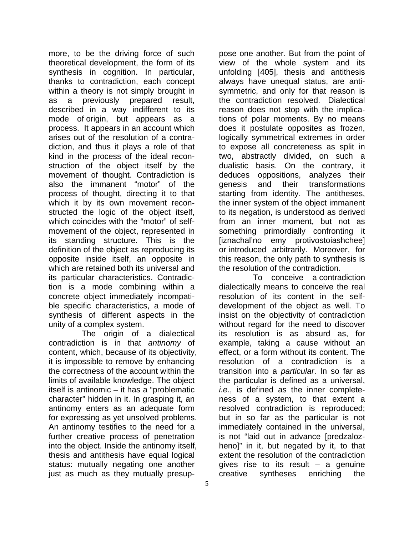more, to be the driving force of such theoretical development, the form of its synthesis in cognition. In particular, thanks to contradiction, each concept within a theory is not simply brought in as a previously prepared result, described in a way indifferent to its mode of origin, but appears as a process. It appears in an account which arises out of the resolution of a contradiction, and thus it plays a role of that kind in the process of the ideal reconstruction of the object itself by the movement of thought. Contradiction is also the immanent "motor" of the process of thought, directing it to that which it by its own movement reconstructed the logic of the object itself, which coincides with the "motor" of selfmovement of the object, represented in its standing structure. This is the definition of the object as reproducing its opposite inside itself, an opposite in which are retained both its universal and its particular characteristics. Contradiction is a mode combining within a concrete object immediately incompatible specific characteristics, a mode of synthesis of different aspects in the unity of a complex system.

 The origin of a dialectical contradiction is in that *antinomy* of content, which, because of its objectivity, it is impossible to remove by enhancing the correctness of the account within the limits of available knowledge. The object itself is antinomic – it has a "problematic character" hidden in it. In grasping it, an antinomy enters as an adequate form for expressing as yet unsolved problems. An antinomy testifies to the need for a further creative process of penetration into the object. Inside the antinomy itself, thesis and antithesis have equal logical status: mutually negating one another just as much as they mutually presuppose one another. But from the point of view of the whole system and its unfolding [405], thesis and antithesis always have unequal status, are antisymmetric, and only for that reason is the contradiction resolved. Dialectical reason does not stop with the implications of polar moments. By no means does it postulate opposites as frozen, logically symmetrical extremes in order to expose all concreteness as split in two, abstractly divided, on such a dualistic basis. On the contrary, it deduces oppositions, analyzes their genesis and their transformations starting from identity. The antitheses, the inner system of the object immanent to its negation, is understood as derived from an inner moment, but not as something primordially confronting it [iznachal'no emy protivostoiashchee] or introduced arbitrarily. Moreover, for this reason, the only path to synthesis is the resolution of the contradiction.

 To conceive a contradiction dialectically means to conceive the real resolution of its content in the selfdevelopment of the object as well. To insist on the objectivity of contradiction without regard for the need to discover its resolution is as absurd as, for example, taking a cause without an effect, or a form without its content. The resolution of a contradiction is a transition into a *particular*. In so far as the particular is defined as a universal, *i.e.*, is defined as the inner completeness of a system, to that extent a resolved contradiction is reproduced; but in so far as the particular is not immediately contained in the universal, is not "laid out in advance [predzalozheno]" in it, but negated by it, to that extent the resolution of the contradiction gives rise to its result  $-$  a genuine creative syntheses enriching the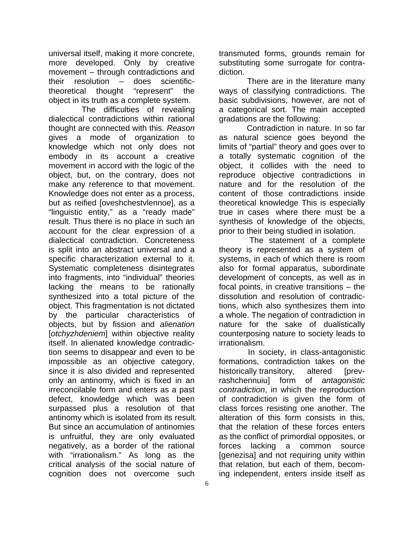universal itself, making it more concrete, more developed. Only by creative movement – through contradictions and their resolution – does scientifictheoretical thought "represent" the object in its truth as a complete system.

 The difficulties of revealing dialectical contradictions within rational thought are connected with this. *Reason* gives a mode of organization to knowledge which not only does not embody in its account a creative movement in accord with the logic of the object, but, on the contrary, does not make any reference to that movement. Knowledge does not enter as a process, but as reified [oveshchestvlennoe], as a "linguistic entity," as a "ready made" result. Thus there is no place in such an account for the clear expression of a dialectical contradiction. Concreteness is split into an abstract universal and a specific characterization external to it. Systematic completeness disintegrates into fragments, into "individual" theories lacking the means to be rationally synthesized into a total picture of the object. This fragmentation is not dictated by the particular characteristics of objects, but by fission and *alienation* [*otchyzhdeniem*] within objective reality itself. In alienated knowledge contradiction seems to disappear and even to be impossible as an objective category, since it is also divided and represented only an antinomy, which is fixed in an irreconcilable form and enters as a past defect, knowledge which was been surpassed plus a resolution of that antinomy which is isolated from its result. But since an accumulation of antinomies is unfruitful, they are only evaluated negatively, as a border of the rational with "irrationalism." As long as the critical analysis of the social nature of cognition does not overcome such

transmuted forms, grounds remain for substituting some surrogate for contradiction.

 There are in the literature many ways of classifying contradictions. The basic subdivisions, however, are not of a categorical sort. The main accepted gradations are the following:

 Contradiction in nature. In so far as natural science goes beyond the limits of "partial" theory and goes over to a totally systematic cognition of the object, it collides with the need to reproduce objective contradictions in nature and for the resolution of the content of those contradictions inside theoretical knowledge This is especially true in cases where there must be a synthesis of knowledge of the objects, prior to their being studied in isolation.

 The statement of a complete theory is represented as a system of systems, in each of which there is room also for formal apparatus, subordinate development of concepts, as well as in focal points, in creative transitions – the dissolution and resolution of contradictions, which also synthesizes them into a whole. The negation of contradiction in nature for the sake of dualistically counterposing nature to society leads to irrationalism.

 In society, in class-antagonistic formations, contradiction takes on the historically transitory, altered [prevrashchennuiu] form of *antagonistic contradiction*, in which the reproduction of contradiction is given the form of class forces resisting one another. The alteration of this form consists in this, that the relation of these forces enters as the conflict of primordial opposites, or forces lacking a common source [genezisa] and not requiring unity within that relation, but each of them, becoming independent, enters inside itself as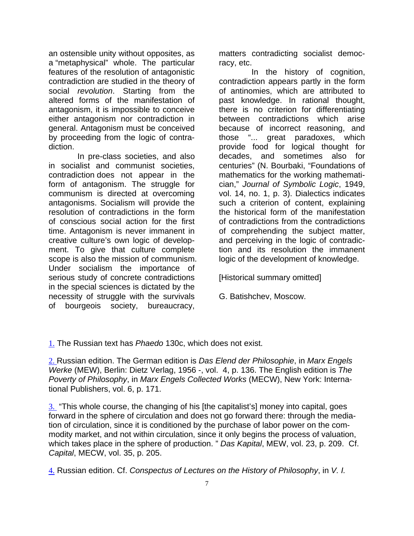an ostensible unity without opposites, as a "metaphysical" whole. The particular features of the resolution of antagonistic contradiction are studied in the theory of social *revolution*. Starting from the altered forms of the manifestation of antagonism, it is impossible to conceive either antagonism nor contradiction in general. Antagonism must be conceived by proceeding from the logic of contradiction.

 In pre-class societies, and also in socialist and communist societies, contradiction does not appear in the form of antagonism. The struggle for communism is directed at overcoming antagonisms. Socialism will provide the resolution of contradictions in the form of conscious social action for the first time. Antagonism is never immanent in creative culture's own logic of development. To give that culture complete scope is also the mission of communism. Under socialism the importance of serious study of concrete contradictions in the special sciences is dictated by the necessity of struggle with the survivals of bourgeois society, bureaucracy,

matters contradicting socialist democracy, etc.

 In the history of cognition, contradiction appears partly in the form of antinomies, which are attributed to past knowledge. In rational thought, there is no criterion for differentiating between contradictions which arise because of incorrect reasoning, and those "... great paradoxes, which provide food for logical thought for decades, and sometimes also for centuries" (N. Bourbaki, "Foundations of mathematics for the working mathematician," *Journal of Symbolic Logic*, 1949, vol. 14, no. 1, p. 3). Dialectics indicates such a criterion of content, explaining the historical form of the manifestation of contradictions from the contradictions of comprehending the subject matter, and perceiving in the logic of contradiction and its resolution the immanent logic of the development of knowledge.

[Historical summary omitted]

G. Batishchev, Moscow.

1. The Russian text has *Phaedo* 130c, which does not exist.

2. Russian edition. The German edition is *Das Elend der Philosophie*, in *Marx Engels Werke* (MEW), Berlin: Dietz Verlag, 1956 -, vol. 4, p. 136. The English edition is *The Poverty of Philosophy*, in *Marx Engels Collected Works* (MECW), New York: International Publishers, vol. 6, p. 171.

3. "This whole course, the changing of his [the capitalist's] money into capital, goes forward in the sphere of circulation and does not go forward there: through the mediation of circulation, since it is conditioned by the purchase of labor power on the commodity market, and not within circulation, since it only begins the process of valuation, which takes place in the sphere of production. " *Das Kapital*, MEW, vol. 23, p. 209. Cf. *Capital*, MECW, vol. 35, p. 205.

4. Russian edition. Cf. *Conspectus of Lectures on the History of Philosophy*, in *V. I.*